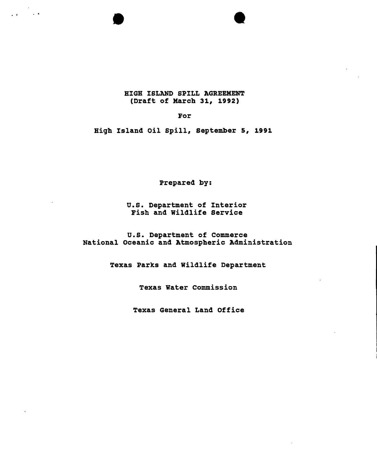## HIGH ISLAND SPILL AGREEMENT (Draft of Karch 31, 1992)

. , . . •

For

High Island oil spill, september 5, 1991

Prepared by:

u.S. Department of Interior Fish and Wildlife Service

O.S. Department of Commerce National Oceanic and Atmospheric Administration

Texas Parks and wildlife Department

Texas Water commission

Texas General Land Office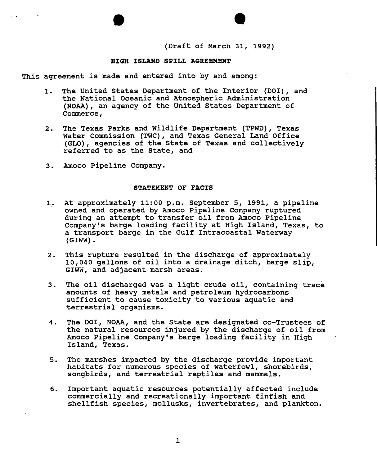(Draft of March 31, 1992)

## **HIGH ISLAND SPILL AGREEMENT**

This agreement is made and entered into by and among:

- 1. The united states Department of the Interior (DOl), and the National Oceanic and Atmospheric Administration (NOAA), an agency of the united states Department of Commerce,
- 2. The Texas Parks and Wildlife Department (TPWD), Texas Water Commission (TWC), and Texas General Land Office (GLO), agencies of the state of Texas and collectively referred to as the State, and
- 3. Amoco Pipeline Company.

· .

### STATEMENT OF FACTS

- At approximately 11:00 p.m. september 5, 1991, a pipeline owned and operated by Amoco Pipeline Company ruptured during an attempt to transfer oil from Amoco Pipeline company's barge loading facility at High Island, Texas, to a transport barge in the Gulf Intracoastal waterway (GIWW).
- 2. This rupture resulted in the discharge of approximately 10,040 gallons of oil into a drainage ditch, barge slip, GIWW, and adjacent marsh areas.
- 3. The oil discharged was a light crude oil, containing trace amounts of heavy metals and petroleum hydrocarbons sufficient to cause toxicity to various aquatic and terrestrial organisms.
- 4. The DOl, NOAA, and the State are designated co-Trustees of the natural resources injured by the discharge of oil from Amoco Pipeline Company's barge loading facility in High Island, Texas.
- 5. The marshes impacted by the discharge provide important habitats for numerous species of waterfowl, shorebirds, songbirds, and terrestrial reptiles and mammals.
- 6. Important aquatic resources potentially affected include commercially and recreationally important finfish and shellfish species, mollusks, invertebrates, and plankton.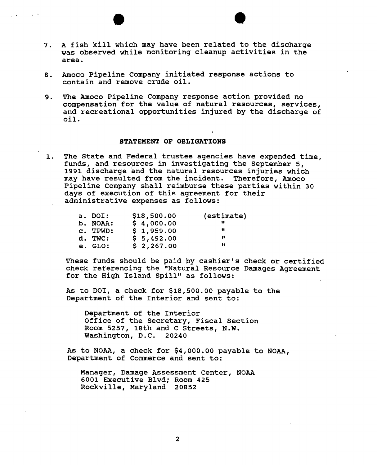- 7. A fish kill which may have been related to the discharge was observed while monitoring cleanup activities in the area.
- 8. Amoco Pipeline company initiated response actions to contain and remove crude oil.
- 9. The Amoco Pipeline Company response action provided no compensation for the value of natural resources, services, and recreational opportunities injured by the discharge of oil.

### STATEMENT OF OBLIGATIONS

1. The state and Federal trustee agencies have expended time, funds, and resources in investigating the September 5, 1991 discharge 'and the natural resources injuries which may have resulted from the incident. Therefore, Amoco Pipeline company shall reimburse these parties within 30 days of execution of this agreement for their administrative expenses as follows:

| \$18,500.00                                           | (estimate) |
|-------------------------------------------------------|------------|
| \$4,000.00                                            |            |
| \$1,959.00                                            | "          |
| \$5,492.00                                            | Н          |
| \$2,267.00                                            | 11         |
| a. DOI:<br>b. NOAA:<br>c. TPWD:<br>d. TWC:<br>e. GLO: |            |

These funds should be paid by cashier's check or certified check referencing the "Natural Resource Damages Agreement for the High Island Spill" as follows:

As to DOl, a check for \$18,500.00 payable to the Department of the Interior and sent to:

Department of the Interior Office of the Secretary, Fiscal section Room 5257, 18th and C Streets, N.W. Washington, D.C. 20240

As to NOAA, a check for \$4,000.00 payable to NOAA, Department of Commerce and sent to:

Manager, Damage Assessment Center, NOAA 6001 Executive Blvd; Room 425 Rockville, Maryland 20852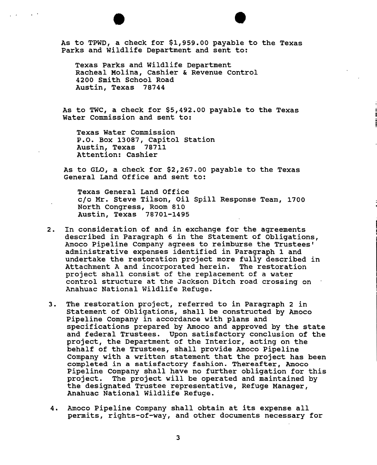As to TPWD, a check for \$1,959.00 payable to the Texas Parks and Wildlife Department and sent to:

Texas Parks and wildlife Department Racheal Molina, Cashier & Revenue Control 4200 smith school Road Austin, Texas 78744

As to TWC, a check for \$5,492.00 payable to the Texas Water Commission and sent to:

Texas Water Commission P.O. Box 13087, Capitol Station Austin, Texas 78711 Attention: Cashier

As to GLO, a check for \$2,267.00 payable to the Texas General Land Office and sent to:

Texas General Land Office c/o Mr. Steve Tilson, Oil Spill Response Team, 1700 North Congress, Room 810 Austin, Texas 78701-1495

- 2. In consideration of and in exchange for the agreements described in Paragraph 6 in the Statement of Obligations, Amoco Pipeline Company agrees to reimburse the Trustees' administrative expenses identified in Paragraph 1 and undertake the restoration project more fully described in Attachment A and incorporated herein. The restoration project shall consist of the replacement of a water control structure at the Jackson Ditch road crossing on Anahuac National wildlife Refuge.
- 3. The restoration project, referred to in Paragraph 2 in statement of Obligations, shall be constructed by Amoco Pipeline Company in accordance with plans and specifications prepared by Amoco and approved by the state and federal Trustees. Upon satisfactory conclusion of the project, the Department of the Interior, acting on the behalf of the Trustees, shall provide Amoco Pipeline Company with a written statement that the project has been completed in a satisfactory fashion. Thereafter, Amoco Pipeline Company shall have no further obligation for this project. The project will be operated and maintained by The project will be operated and maintained by the designated Trustee representative, Refuge Manager, Anahuac National Wildlife Refuge.
- 4. Amoco Pipeline Company shall obtain at its expense all permits, rights-of-way, and other documents necessary for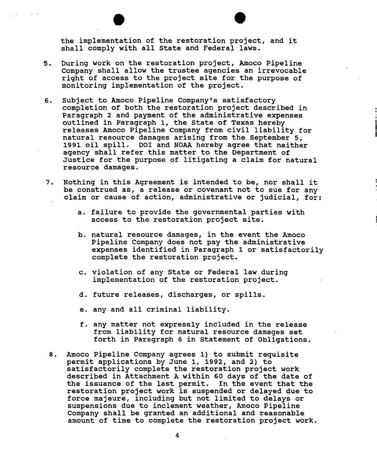• the implementation of the restoration project, and it shall comply with all state and Federal laws.

- 5. During work on the restoration project, Amoco Pipeline company shall allow the trustee agencies an irrevocable right of access to the project site for the purpose of monitoring implementation of the project.
- 6. Subject to Amoco Pipeline Company's satisfactory completion of both the restoration project described in Paragraph 2 and payment of the administrative expenses outlined in Paragraph 1, the State of Texas hereby releases Amoco Pipeline company from civil liability for natural resource damages arising from the September 5, 1991 oil spill. 001 and NOAA hereby agree that neither agency shall refer this matter to the Department of Justice for the purpose of litigating a claim for natural resource damages.
- 7. Nothing in this Agreement is intended to be, nor shall it be construed as, a release or covenant not to sue for any claim or cause of action, administrative or judicial, for:
	- a. failure to provide the governmental parties with access to the restoration project site.
	- b. natural resource damages, in the event the Amoco Pipeline Company does not pay the administrative expenses identified in Paragraph 1 or satisfactorily complete the restoration project.
	- c. violation of any State or Federal law during implementation of the restoration project.
	- d. future releases, discharges, or spills.
	- e. any and all criminal liability.
	- f. any matter not expressly included in the release from liability for natural resource damages set forth in Paragraph 6 in Statement of Obligations.
- 8. Amoco pipeline Company agrees 1) to submit requisite permit applications by June 1, 1992, and 2) to satisfactorily complete the restoration project work described in Attachment A within 60 days of the date of the issuance of the last permit. In the event that the restoration project work is suspended or delayed due to force majeure, including but not limited to delays or suspensions due to inclement weather, Amoco Pipeline Company shall be granted an additional and reasonable amount of time to complete the restoration project work.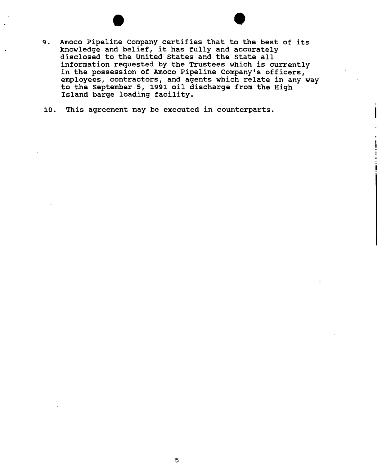- 9. Amoco Pipeline Company certifies that to the best of its knowledge and belief, it has fully and accurately disclosed to the united states and the state all information requested by the Trustees which is currently in the possession of Amoco Pipeline Company's officers, employees, contractors, and agents which relate in any way to the September 5, 1991 oil discharge from the High Island barge loading facility.
- 10. This agreement may be executed in counterparts.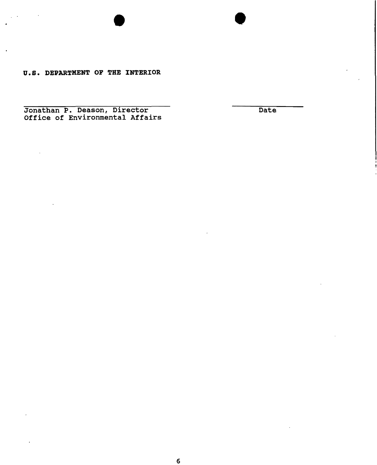**U.S. DEPARTMENT OF THE INTERIOR** 

Jonathan P. Deason, Director Office of Environmental Affairs **Date**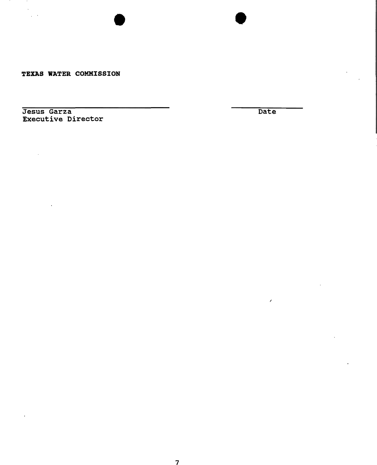TEXAS WATER COMMISSION

Jesus Garza Executive Director

 $\bar{\star}$ 

**Date** 

/

•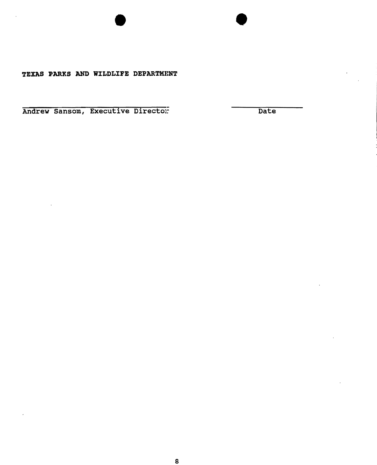# **TEXAS PARKS AND WILDLIFE DEPARTMENT**

Andrew Sansom, Executive Director: Date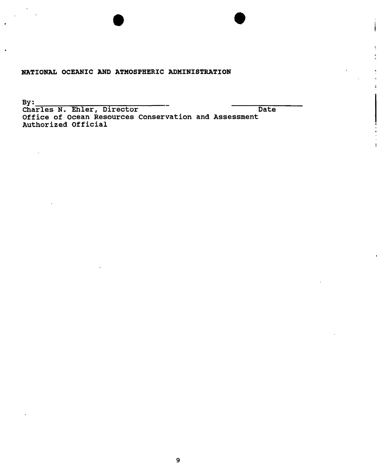# **BATIONAL OCEANIC AND ATMOSPHERIC ADMINISTRATION**

By: Charles N. Ehler, Director **Date** Office of Ocean Resources Conservation and Assessment Authorized Official

•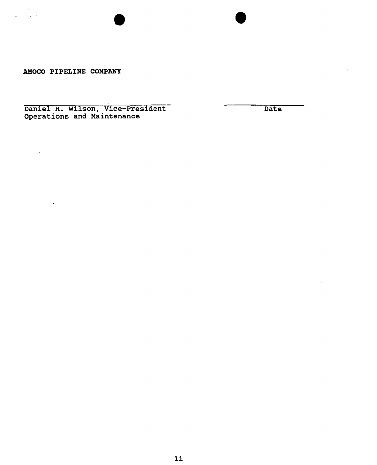AMOCO PIPELINE COMPANY

 $\alpha$  $\mathbf{r}$ 

Daniel H. Wilson, vice-President operations and Maintenance

 $\bar{\mathrm{t}}$ 

**Date** 

 $\overline{a}$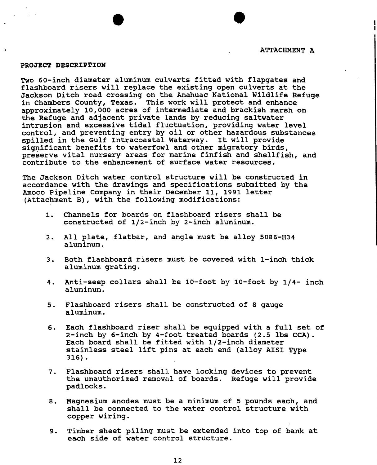#### PROJECT DESCRIPTION

Two 60-inch diameter aluminum culverts fitted with flapgates and flashboard risers will replace the existing open culverts at the Jackson Ditch road crossing on the Anahuac National Wildlife Refuge in Chambers County, Texas. This work will protect and enhance approximately 10,000 acres of intermediate and brackish marsh on the Refuge and adjacent private lands by reducing saltwater intrusion and excessive tidal fluctuation, providing water level control, and preventing entry by oil or other hazardous substances spilled in the Gulf Intracoastal waterway. It will provide significant benefits to waterfowl and other migratory birds, preserve vital nursery areas for marine finfish and shellfish, and contribute to the enhancement of surface water resources.

The Jackson Ditch water control structure will be constructed in accordance with the drawings and specifications submitted by the Amoco pipeline Company in their December 11, 1991 letter (Attachment B), with the following modifications:

- 1. Channels for boards on flashboard risers shall be constructed of 1/2-inch by 2-inch aluminum.
- 2. All plate, flatbar, and angle must be alloy 5086-H34 aluminum.
- 3. Both flashboard risers must be covered with l-inch thick aluminum grating.
- 4. Anti-seep collars shall be 10-foot by 10-foot by 1/4- inch aluminum.
- 5. Flashboard risers shall be constructed of 8 gauge aluminum.
- 6. Each flashboard riser shall be equipped with a full set of 2-inch by 6-inch by 4-foot treated boards (2.5 lbs CCA) • Each board shall be fit:ted with 1/2-inch diameter stainless steel lift pins at each end (alloy AISI Type 316) •
- 7. Flashboard risers shall have locking devices to prevent the unauthorized removal of boards. Refuge will provide padlocks.
- 8. Magnesium anodes must be a minimum of 5 pounds each, and shall be connected to the water control structure with copper wiring.
- 9. Timber sheet piling must be extended into top of bank at each side of water control structure.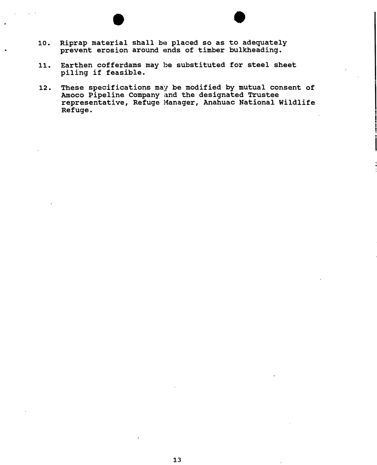- 10. Riprap material shall be placed so as to adequately prevent erosion around ends of timber bulkheading.
- 11. Earthen cofferdams may be substituted for steel sheet piling if feasible.
- 12. These specifications may be modified by mutual consent of Amoco Pipeline Company and the designated Trustee representative, Refuge Manager, Anahuac National Wildlife Refuge.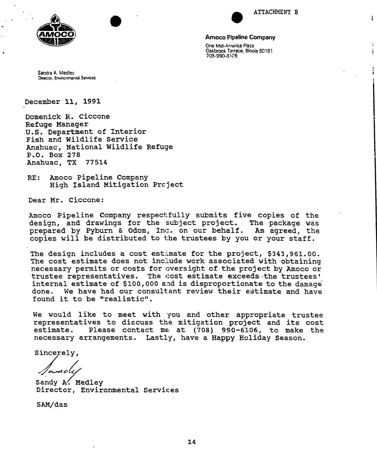

I

I

Î.



Amoco Pipeline Company One Mid-America Plaza Oakbrook Terrace, Illinois 60181 708·990·0IC6

Sandra A. Medlev Director, Environmental Services

December 11, 1991

Domenick R. Ciccone Refuge Manager U.S. Department of Interior Fish and Wildlife Service Anahuac, National Wildlife Refuge P.O. Box 278 Anahuac, TX

RE: Amoco Pipeline Company High Island Mitigation Prcject

Dear Mr. Ciccone:

Amoco Pipeline Company respectfully submits five copies of the<br>design, and drawings for the subject project. The package was design, and drawings for the subject project. prepared by Pyburn & Odom, Inc. on our behalf. As agreed, the copies will be distributed to the trustees by you or your staff.

The design includes a cost estimate for the project, \$343,961.00. The cost estimate does not include work associated with obtaining necessary permits or costs for oversight of the project by Amoco or trustee representatives. The cost estimate exceeds·the trustees' internal estimate of \$100,000 and is disproportionate to the damage done. We have had our consultant review their estimate and have found it to be "realistic".

We would like to meet with you and other appropriate trustee representatives to discuss the mitigation project and its cost<br>estimate. Please contact me at (708) 990-6106, to make the Please contact me $at$  (708) 990-6106, to make the necessary arrangements. Lastly, have a Happy Holiday Season.

Sincerely,

Sandy A. Medley Director, Environmental Services

SAM/das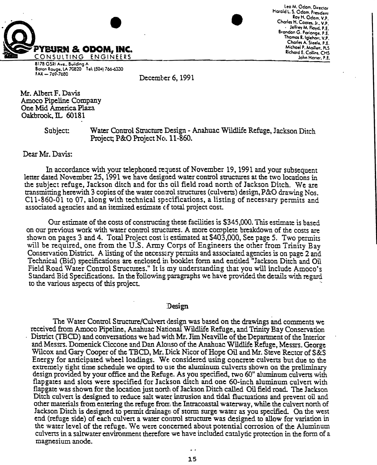

leo M. Odom. Oiteclor Harold L. S. Odom, President Roy H. Odom, V.P. Charle H. COOIes. Jr.: *vi* • Jel/rev M. Floyd., P.E. Brandan G. Parlange. P.E. Thamas R. Iglehort, V.P. Charles A. Steele, P.E. Michoel P. Maillett, PLS Richard E. Collins, CHS John Herter, P.E.

817B GSRI Ave.. Building A Batan Rouge, LA 70820 Tel: [504] 766-6330 FAX - *i69·76SO* 

December 6,1991

Mr. Alben F. Davis Amoco Pipeline Company One Mid America Plaza Oakbrook. IL 60181

> Subject: Water Control Structure Design - Anahuac Wildlife Refuge, Jackson Ditch Project; P&O Project No. 11-860.

Dear Mr. Davis:

In accordance with your telephoned request of November 19, 1991 and your subsequent letter dated November 25, 1991 we have designed water control structures at the two locations in the subject refuge, Jackson ditch and for the oil field road north of Jackson Ditch. We are transmitting herewith 3 copies of the watercomrol structures (culverts) design.P&O drawing Nos.  $C11-860-01$  to 07, along with technical specifications, a listing of necessary permits and associated agencies and an itemized estimate of total project cost.

Our estimate of the costs of constructing these facilities is \$345,000. This estimate is based on our previous work with water control structures. A more complete breakdown of the costs are shown on pages 3 and 4. Total Project cost is estimated at \$403,000, See page 5. Two permits will be required, one from the U.S. Army Corps of Engineers the other from Trinity Bay Conservation District. A listing of the necessary permits and associated agencies is on page 2 and Technical (Bid) specifications are enclosed in booklet form and entitled "Jackson Ditch and Oil Field Road Water Control Structutes." It is my understanding that you will include Amoco's Standard Bid Specifications. In the following paragraphs we have provided the details with regard to the various aspects of this project.

Design

The Water Control Strueture/Culvert design was based on the drawings and comments we received from Amoco Pipeline, Anahuac National Wildlife Refuge, and Trinity Bay Conservation District (TBCD) and conversations we had with Mr. Jim Neaville of the Department of the Interior and Messrs. Domenick Ciccone and Dan Alonso of the Anahuac Wildlife Refuge, Messrs. George Wilcox and Gary Cooper of the TBCD, Mr. Dick Nicor of Hope Oil and Mr. Steve Rector of S&S Energy for anticipated wheel loadings. We: considered using concrete culverts but due to the extremely tight time schedule we opted to use the aluminum culverts shown on the preliminary design provided by your office and the Refuge. As you specified, two 60" aluminum culverts with flapgates and slots were specified for Jackson ditch and one 60-inch aluminum culvert with flapgate was shown for the location just north of Jackson Ditch called Oil field road. The Jackson Ditch culvert is designed to reduce salt water intrusion and tidal fluctuations and prevent oil and other materials from entering the refuge from the Intracoastal waterway, while the culven nonh of Jackson Ditch is designed to permit drainage of storm surge water as you specified. On the west end (refuge side) of each culvert a water coutrol structure was designed to allow for variation in the water level of the refuge. We were concerned about potential corrosion of the Aluminum culverts in a saltwater environment therefore we have included catalytic protection in the form of a magnesium anode.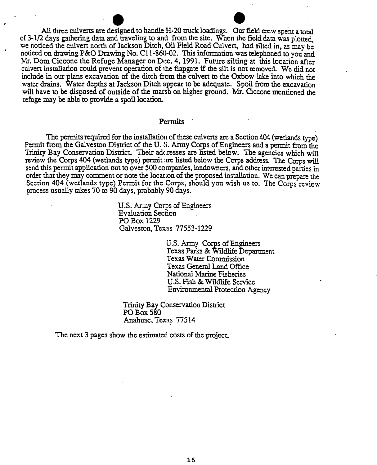All three culverts are designed to handle H-20 truck loadings. Our field crew spent a total of 3-1/2 days gathering data and traveling to and from the site. When the field data was plotted, we noticed the culvert north of Jackson Ditch, Oil Field Road Culvert, had silted in, as may be noticed on drawing P&O Drawing No. Cll-860-02. This information was telephoned to you and Mr. Dom Ciccone the Refuge Manager on Dec. 4, 1991. Future silting at this location after culvert installation could prevent operation of the flapgate if the silt is not removed. We did not include in our plans excavation of the ditch from the culven to the Oxbow lake into which the water drains. Water depths at Jackson Ditch appear to be adequate. Spoil from the excavation will have to be disposed of outside of the marsh on higher ground. Mr. Ciccone mentioned the refuge may be able to provide a spoil location.

### Permits

The permits required for the installation of these culverts are a Section 404 (wetlands type) Permit from the Galveston District of the U. S. Army Corps of Engineers and a permit from the Trinity Bay Conservation District. Their addresses are listed below. The agencies which will review the Corps 404 (wetlands type) permit are listed below the Corps address. The Corps will send this permit application out to over 500 companies. landowners, and other interested parties in order that they may comment or note the location of the proposed installation. We can prepare the Section 404 (wetlands type) Permit for the Corps, should you wish us to. The Corps review process usually takes 70 to 90 days, probably 90 days. .

> U.S. Army Corps of Engineers Evaluation Section POBox 1229 Galveston, Texas 77553-1229

> > U.S. Army Corps of Engineers Texas Parks &. Wlldlife Department Texas Water Commission Texas General Land Office National Marine Esheries U.S. Fish & Wtldlife Service Environmental Protection Agency

Trinity Bay Conservation District PO Box 580 Anahuac, Texas 77514

The next 3 pages show the estimated. costs of the project.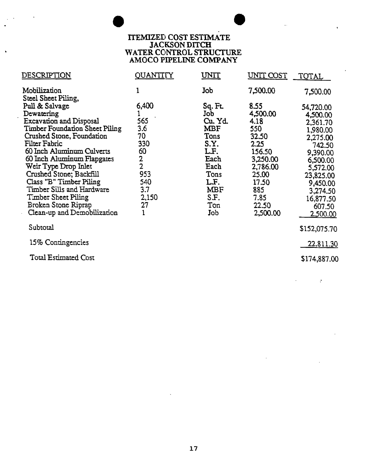## **ITEMIZED COST ESTIMATE** JACKSON DITCH WATER CONTROL STRUCTURE AMOCO PIPELINE COMPANY

| DESCRIPTION                                                                                                                                                                                                                                                                                                                                                                                              | <b>QUANTITY</b>                                                                             | UNIT                                                                                                                      | UNIT COST                                                                                                                                | TOTAL                                                                                                                                                                           |
|----------------------------------------------------------------------------------------------------------------------------------------------------------------------------------------------------------------------------------------------------------------------------------------------------------------------------------------------------------------------------------------------------------|---------------------------------------------------------------------------------------------|---------------------------------------------------------------------------------------------------------------------------|------------------------------------------------------------------------------------------------------------------------------------------|---------------------------------------------------------------------------------------------------------------------------------------------------------------------------------|
| Mobilization<br>Steel Sheet Piling,                                                                                                                                                                                                                                                                                                                                                                      |                                                                                             | Job                                                                                                                       | 7,500.00                                                                                                                                 | 7,500.00                                                                                                                                                                        |
| Pull & Salvage<br>Dewatering<br><b>Excavation and Disposal</b><br>Timber Foundation Sheet Piling<br>Crushed Stone, Foundation<br>Filter Fabric<br>60 Inch Aluminum Culverts<br>60 Inch Aluminum Flapgates<br>Weir Type Drop Inlet<br>Crushed Stone; Backfill<br>Class "B" Timber Piling<br>Timber Sills and Hardware<br><b>Timber Sheet Piling</b><br>Broken Stone Riprap<br>Clean-up and Demobilization | 6,400<br>565<br>3.6<br>70<br>330<br>60<br>$\frac{2}{2}$<br>953<br>540<br>3.7<br>2,150<br>27 | Sq. Ft<br>Job<br>Cu. Yd.<br>MBF<br>Tons<br>S.Y.<br>LF.<br>Each<br>Each<br>Tons<br>LF.<br><b>MBF</b><br>S.F.<br>Ton<br>Job | 8.55<br>4,500.00<br>4.18<br>550<br>32.50<br>2.25<br>156.50<br>3,250.00<br>2,786.00<br>25.00<br>17.50<br>885<br>7.85<br>22.50<br>2,500.00 | 54,720.00<br>4,500.00<br>2,361.70<br>1,980.00<br>2,275.00<br>742.50<br>9,390.00<br>6,500.00<br>5,572.00<br>23,825.00<br>9,450.00<br>3,274.50<br>16,877.50<br>607.50<br>2.500.00 |
| Subtotal                                                                                                                                                                                                                                                                                                                                                                                                 |                                                                                             |                                                                                                                           |                                                                                                                                          | \$152,075.70                                                                                                                                                                    |
| 15% Contingencies                                                                                                                                                                                                                                                                                                                                                                                        |                                                                                             |                                                                                                                           |                                                                                                                                          | 22,811.30                                                                                                                                                                       |
| <b>Total Estimated Cost</b>                                                                                                                                                                                                                                                                                                                                                                              |                                                                                             |                                                                                                                           |                                                                                                                                          | \$174,887.00                                                                                                                                                                    |

 $\sim$   $\sigma$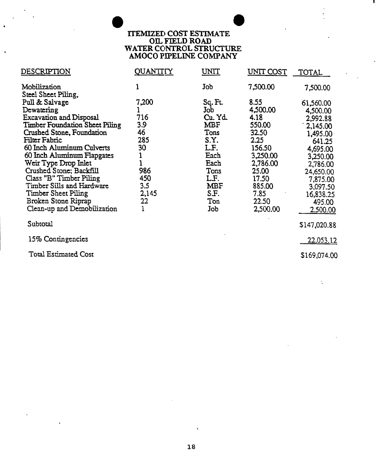# $\bullet$ ITEMIZED COST ESTIMATE On. FIELD ROAD WATER CONTROL STRUCTURE AMOCO PIPELINE COMPANY

| DESCRIPTION                           | QUANTITY | <u>UNIT</u> | UNIT COST | <b>TOTAL</b> |
|---------------------------------------|----------|-------------|-----------|--------------|
| Mobilization                          | 1        | Job         | 7,500.00  | 7,500.00     |
| Steel Sheet Piling,                   |          |             |           |              |
| Pull & Salvage                        | 7,200    | Sq. Ft.     | 8.55      | 61,560.00    |
| Dewatering                            |          | Job         | 4,500.00  | 4,500.00     |
| <b>Excavation and Disposal</b>        | 716      | Cu. Yd.     | 4.18      | 2,992.88     |
| <b>Timber Foundation Sheet Piling</b> | 3.9      | <b>MBF</b>  | 550.00    | 1,145.00     |
| Crushed Stone, Foundation             | 46       | Tons        | 32.50     | 1,495.00     |
| Filter Fabric                         | 285      | S.Y.        | 2.25      | 641.25       |
| 60 Inch Aluminum Culverts             | 30       | LF.         | 156.50    | 4,695.00     |
| 60 Inch Aluminum Flapgates            |          | Each        | 3,250.00  | 3,250.00     |
| Weir Type Drop Inlet                  |          | Each        | 2,786.00  | 2,786.00     |
| Crushed Stone; Backfill               | 986      | Tons        | 25.00     | 24,650.00    |
| Class "B" Timber Piling               | 450      | LF.         | 17.50     | 7,875.00     |
| Timber Sills and Hardware             | 3.5      | <b>MBF</b>  | 885.00    | 3,097.50     |
| <b>Timber Sheet Piling</b>            | 2,145    | S.F.        | 7.85      | 16,838.25    |
| Broken Stone Riprap                   | 22       | Ton         | 22.50     | 495.00       |
| Clean-up and Demobilization           |          | Job         | 2,500.00  | 2.500.00     |
|                                       |          |             |           |              |
| Subtotal                              |          |             |           | \$147,020.88 |
| 15% Contingencies                     |          |             |           | 22.053.12    |
| <b>Total Estimated Cost</b>           |          |             |           | \$169,074.00 |
|                                       |          |             |           |              |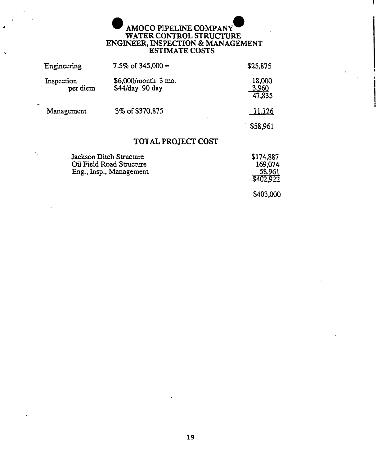# AMOCO PIPELINE COMPANY WATER CONTROL STRUCTURE ENGINEER, INSPECTION & MANAGEMENT ESTrMATE COSTS

| Engineering            | 7.5% of $345,000 =$                      | \$25,875                  |
|------------------------|------------------------------------------|---------------------------|
| Inspection<br>per diem | $$6,000/m$ onth 3 mo.<br>\$44/day 90 day | 18,000<br>3.960<br>47,835 |
| Management             | 3% of \$370,875                          | 11.126                    |
|                        |                                          | \$58,961                  |
|                        |                                          |                           |

# TOTAL FROJECT COST

| Jackson Ditch Structure  | \$174,887 |
|--------------------------|-----------|
| Oil Field Road Structure | 169,074   |
| Eng., Insp., Management  | 58,961    |
|                          | \$402,922 |
|                          |           |
|                          | \$403,000 |